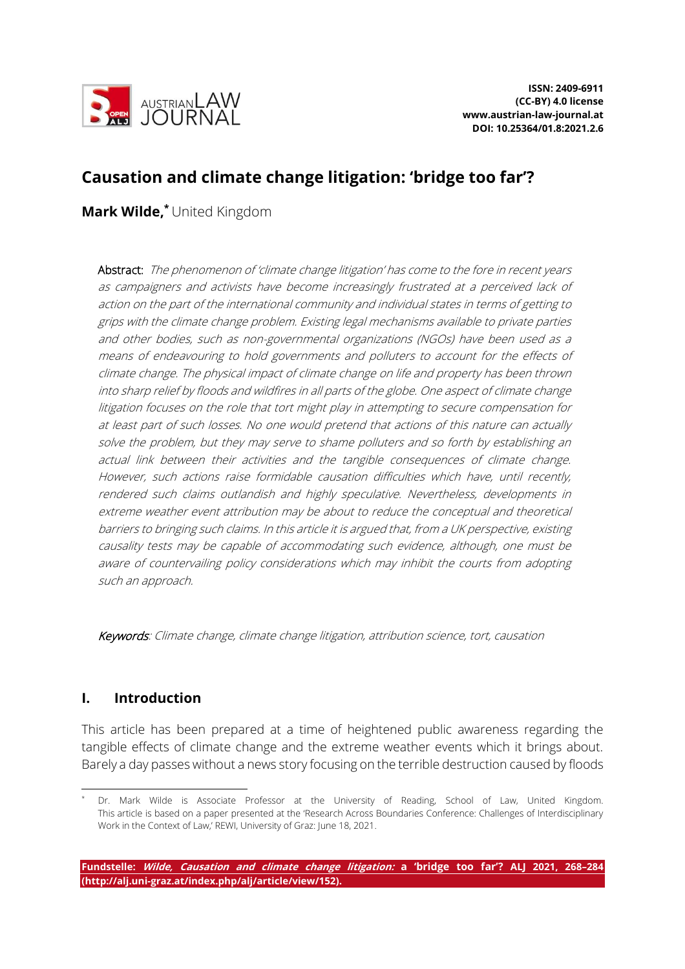

# **Causation and climate change litigation: 'bridge too far'?**

**Mark Wilde, \*** United Kingdom

Abstract: The phenomenon of 'climate change litigation' has come to the fore in recent years as campaigners and activists have become increasingly frustrated at a perceived lack of action on the part of the international community and individual states in terms of getting to grips with the climate change problem. Existing legal mechanisms available to private parties and other bodies, such as non-governmental organizations (NGOs) have been used as a means of endeavouring to hold governments and polluters to account for the effects of climate change. The physical impact of climate change on life and property has been thrown into sharp relief by floods and wildfires in all parts of the globe. One aspect of climate change litigation focuses on the role that tort might play in attempting to secure compensation for at least part of such losses. No one would pretend that actions of this nature can actually solve the problem, but they may serve to shame polluters and so forth by establishing an actual link between their activities and the tangible consequences of climate change. However, such actions raise formidable causation difficulties which have, until recently, rendered such claims outlandish and highly speculative. Nevertheless, developments in extreme weather event attribution may be about to reduce the conceptual and theoretical barriers to bringing such claims. In this article it is argued that, from a UK perspective, existing causality tests may be capable of accommodating such evidence, although, one must be aware of countervailing policy considerations which may inhibit the courts from adopting such an approach.

Keywords: Climate change, climate change litigation, attribution science, tort, causation

## **I. Introduction**

This article has been prepared at a time of heightened public awareness regarding the tangible effects of climate change and the extreme weather events which it brings about. Barely a day passes without a news story focusing on the terrible destruction caused by floods

Dr. Mark Wilde is Associate Professor at the University of Reading, School of Law, United Kingdom. This article is based on a paper presented at the 'Research Across Boundaries Conference: Challenges of Interdisciplinary Work in the Context of Law,' REWI, University of Graz: June 18, 2021.

**Fundstelle: Wilde, Causation and climate change litigation: a 'bridge too far'? ALJ 2021, 268–284 (http://alj.uni-graz.at/index.php/alj/article/view/152).**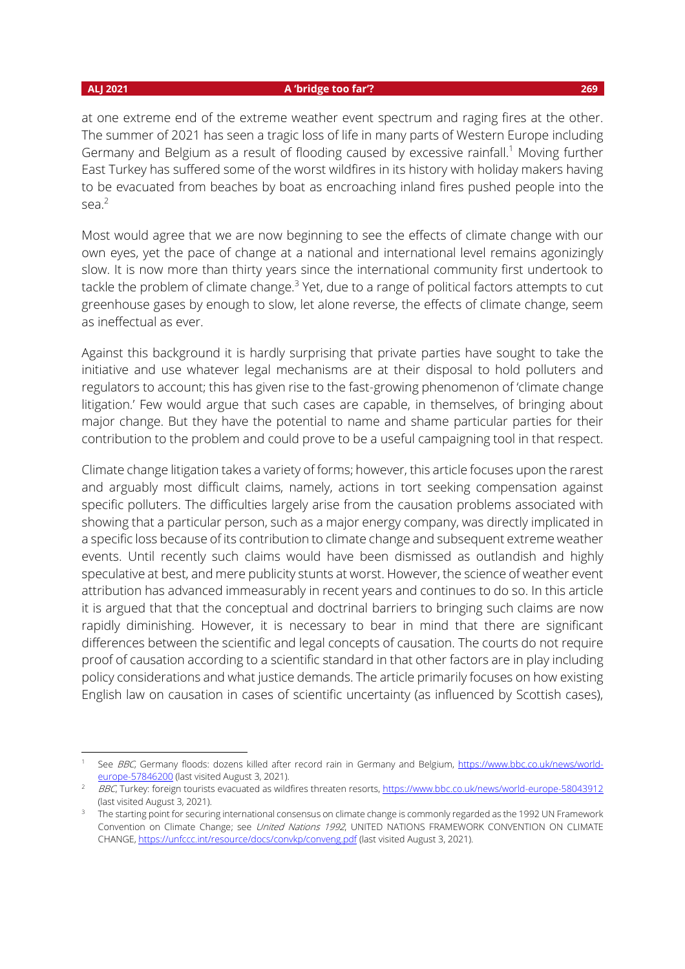#### **ALJ 2021 A 'bridge too far'? 269**

at one extreme end of the extreme weather event spectrum and raging fires at the other. The summer of 2021 has seen a tragic loss of life in many parts of Western Europe including Germany and Belgium as a result of flooding caused by excessive rainfall.<sup>1</sup> Moving further East Turkey has suffered some of the worst wildfires in its history with holiday makers having to be evacuated from beaches by boat as encroaching inland fires pushed people into the sea.<sup>2</sup>

Most would agree that we are now beginning to see the effects of climate change with our own eyes, yet the pace of change at a national and international level remains agonizingly slow. It is now more than thirty years since the international community first undertook to tackle the problem of climate change.<sup>3</sup> Yet, due to a range of political factors attempts to cut greenhouse gases by enough to slow, let alone reverse, the effects of climate change, seem as ineffectual as ever.

Against this background it is hardly surprising that private parties have sought to take the initiative and use whatever legal mechanisms are at their disposal to hold polluters and regulators to account; this has given rise to the fast-growing phenomenon of 'climate change litigation.' Few would argue that such cases are capable, in themselves, of bringing about major change. But they have the potential to name and shame particular parties for their contribution to the problem and could prove to be a useful campaigning tool in that respect.

Climate change litigation takes a variety of forms; however, this article focuses upon the rarest and arguably most difficult claims, namely, actions in tort seeking compensation against specific polluters. The difficulties largely arise from the causation problems associated with showing that a particular person, such as a major energy company, was directly implicated in a specific loss because of its contribution to climate change and subsequent extreme weather events. Until recently such claims would have been dismissed as outlandish and highly speculative at best, and mere publicity stunts at worst. However, the science of weather event attribution has advanced immeasurably in recent years and continues to do so. In this article it is argued that that the conceptual and doctrinal barriers to bringing such claims are now rapidly diminishing. However, it is necessary to bear in mind that there are significant differences between the scientific and legal concepts of causation. The courts do not require proof of causation according to a scientific standard in that other factors are in play including policy considerations and what justice demands. The article primarily focuses on how existing English law on causation in cases of scientific uncertainty (as influenced by Scottish cases),

See BBC, Germany floods: dozens killed after record rain in Germany and Belgium, [https://www.bbc.co.uk/news/world](https://www.bbc.co.uk/news/world-europe-57846200)[europe-57846200](https://www.bbc.co.uk/news/world-europe-57846200) (last visited August 3, 2021).

BBC, Turkey: foreign tourists evacuated as wildfires threaten resorts[, https://www.bbc.co.uk/news/world-europe-58043912](https://www.bbc.co.uk/news/world-europe-58043912) (last visited August 3, 2021).

<sup>3</sup> The starting point for securing international consensus on climate change is commonly regarded as the 1992 UN Framework Convention on Climate Change; see United Nations 1992, UNITED NATIONS FRAMEWORK CONVENTION ON CLIMATE CHANGE, <https://unfccc.int/resource/docs/convkp/conveng.pdf> (last visited August 3, 2021).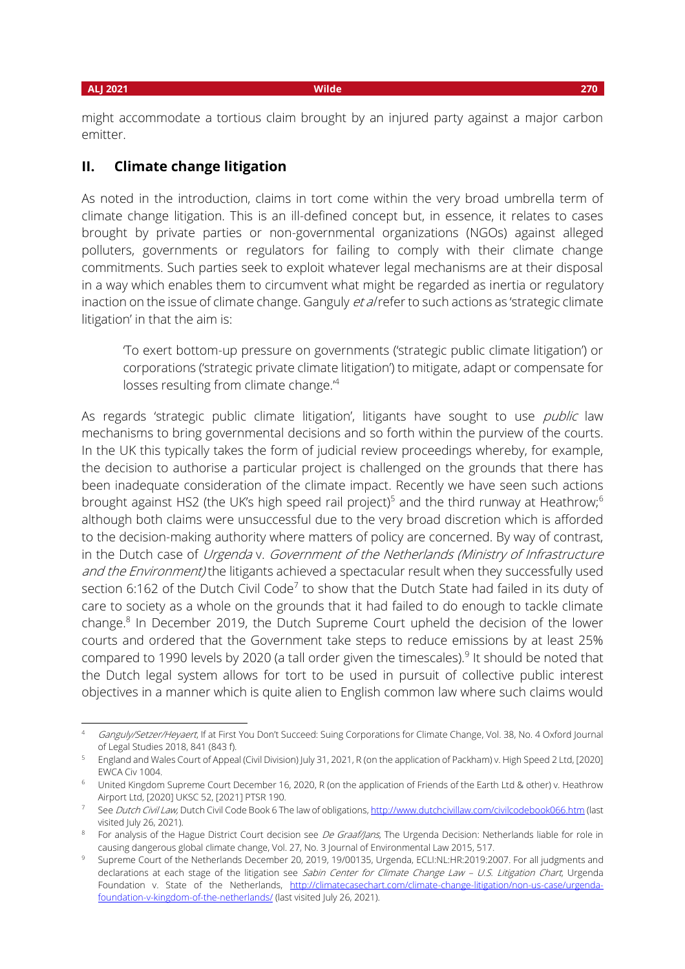might accommodate a tortious claim brought by an injured party against a major carbon emitter.

### **II. Climate change litigation**

As noted in the introduction, claims in tort come within the very broad umbrella term of climate change litigation. This is an ill-defined concept but, in essence, it relates to cases brought by private parties or non-governmental organizations (NGOs) against alleged polluters, governments or regulators for failing to comply with their climate change commitments. Such parties seek to exploit whatever legal mechanisms are at their disposal in a way which enables them to circumvent what might be regarded as inertia or regulatory inaction on the issue of climate change. Ganguly et alrefer to such actions as 'strategic climate litigation' in that the aim is:

'To exert bottom-up pressure on governments ('strategic public climate litigation') or corporations ('strategic private climate litigation') to mitigate, adapt or compensate for losses resulting from climate change.'<sup>4</sup>

As regards 'strategic public climate litigation', litigants have sought to use *public* law mechanisms to bring governmental decisions and so forth within the purview of the courts. In the UK this typically takes the form of judicial review proceedings whereby, for example, the decision to authorise a particular project is challenged on the grounds that there has been inadequate consideration of the climate impact. Recently we have seen such actions brought against HS2 (the UK's high speed rail project)<sup>5</sup> and the third runway at Heathrow;<sup>6</sup> although both claims were unsuccessful due to the very broad discretion which is afforded to the decision-making authority where matters of policy are concerned. By way of contrast, in the Dutch case of Urgenda v. Government of the Netherlands (Ministry of Infrastructure and the Environment) the litigants achieved a spectacular result when they successfully used section 6:162 of the Dutch Civil Code<sup>7</sup> to show that the Dutch State had failed in its duty of care to society as a whole on the grounds that it had failed to do enough to tackle climate change.<sup>8</sup> In December 2019, the Dutch Supreme Court upheld the decision of the lower courts and ordered that the Government take steps to reduce emissions by at least 25% compared to 1990 levels by 2020 (a tall order given the timescales).<sup>9</sup> It should be noted that the Dutch legal system allows for tort to be used in pursuit of collective public interest objectives in a manner which is quite alien to English common law where such claims would

Ganguly/Setzer/Heyaert, If at First You Don't Succeed: Suing Corporations for Climate Change, Vol. 38, No. 4 Oxford Journal of Legal Studies 2018, 841 (843 f).

<sup>5</sup> England and Wales Court of Appeal (Civil Division) July 31, 2021, R (on the application of Packham) v. High Speed 2 Ltd, [2020] EWCA Civ 1004.

<sup>&</sup>lt;sup>6</sup> United Kingdom Supreme Court December 16, 2020, R (on the application of Friends of the Earth Ltd & other) v. Heathrow Airport Ltd, [2020] UKSC 52, [2021] PTSR 190.

<sup>&</sup>lt;sup>7</sup> See Dutch Civil Law, Dutch Civil Code Book 6 The law of obligations[, http://www.dutchcivillaw.com/civilcodebook066.htm](http://www.dutchcivillaw.com/civilcodebook066.htm) (last visited July 26, 2021).

For analysis of the Hague District Court decision see De Graaf/Jans, The Urgenda Decision: Netherlands liable for role in causing dangerous global climate change, Vol. 27, No. 3 Journal of Environmental Law 2015, 517.

<sup>9</sup> Supreme Court of the Netherlands December 20, 2019, 19/00135, Urgenda, ECLI:NL:HR:2019:2007. For all judgments and declarations at each stage of the litigation see Sabin Center for Climate Change Law - U.S. Litigation Chart, Urgenda Foundation v. State of the Netherlands, [http://climatecasechart.com/climate-change-litigation/non-us-case/urgenda](http://climatecasechart.com/climate-change-litigation/non-us-case/urgenda-foundation-v-kingdom-of-the-netherlands/)[foundation-v-kingdom-of-the-netherlands/](http://climatecasechart.com/climate-change-litigation/non-us-case/urgenda-foundation-v-kingdom-of-the-netherlands/) (last visited July 26, 2021).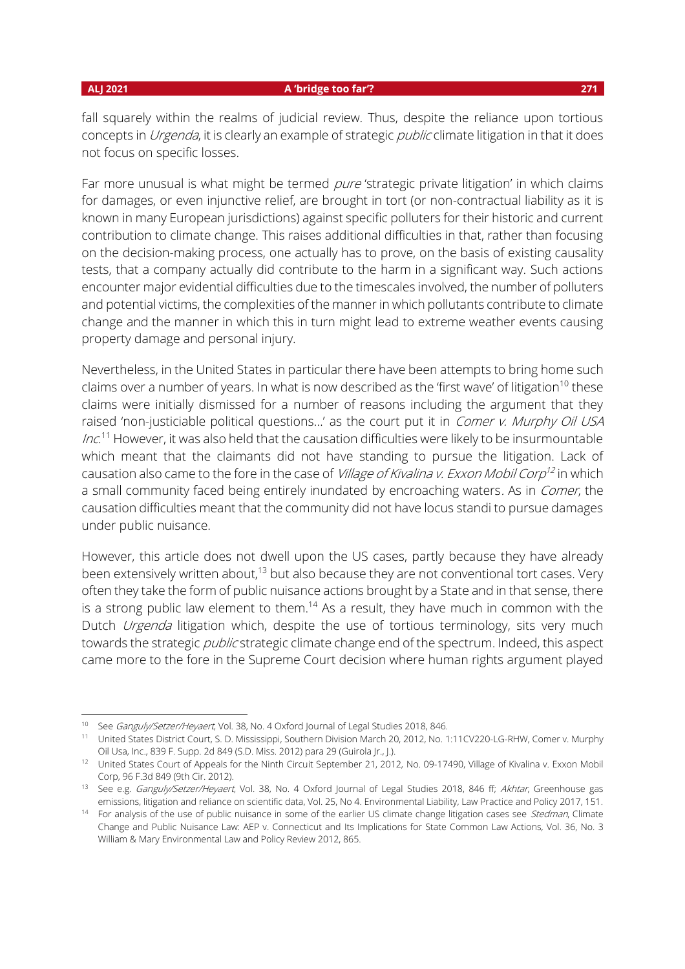fall squarely within the realms of judicial review. Thus, despite the reliance upon tortious concepts in *Urgenda*, it is clearly an example of strategic *public* climate litigation in that it does not focus on specific losses.

Far more unusual is what might be termed *pure* 'strategic private litigation' in which claims for damages, or even injunctive relief, are brought in tort (or non-contractual liability as it is known in many European jurisdictions) against specific polluters for their historic and current contribution to climate change. This raises additional difficulties in that, rather than focusing on the decision-making process, one actually has to prove, on the basis of existing causality tests, that a company actually did contribute to the harm in a significant way. Such actions encounter major evidential difficulties due to the timescales involved, the number of polluters and potential victims, the complexities of the manner in which pollutants contribute to climate change and the manner in which this in turn might lead to extreme weather events causing property damage and personal injury.

Nevertheless, in the United States in particular there have been attempts to bring home such claims over a number of years. In what is now described as the 'first wave' of litigation<sup>10</sup> these claims were initially dismissed for a number of reasons including the argument that they raised 'non-justiciable political questions...' as the court put it in *Comer v. Murphy Oil USA Inc*.<sup>11</sup> However, it was also held that the causation difficulties were likely to be insurmountable which meant that the claimants did not have standing to pursue the litigation. Lack of causation also came to the fore in the case of *Village of Kivalina v. Exxon Mobil Corp<sup>12</sup>* in which a small community faced being entirely inundated by encroaching waters. As in Comer, the causation difficulties meant that the community did not have locus standi to pursue damages under public nuisance.

However, this article does not dwell upon the US cases, partly because they have already been extensively written about, $13$  but also because they are not conventional tort cases. Very often they take the form of public nuisance actions brought by a State and in that sense, there is a strong public law element to them.<sup>14</sup> As a result, they have much in common with the Dutch *Urgenda* litigation which, despite the use of tortious terminology, sits very much towards the strategic *public* strategic climate change end of the spectrum. Indeed, this aspect came more to the fore in the Supreme Court decision where human rights argument played

<sup>&</sup>lt;sup>10</sup> See *Ganguly/Setzer/Heyaert*, Vol. 38, No. 4 Oxford Journal of Legal Studies 2018, 846.

<sup>11</sup> United States District Court, S. D. Mississippi, Southern Division March 20, 2012, No. 1:11CV220-LG-RHW, Comer v. Murphy Oil Usa, Inc., 839 F. Supp. 2d 849 (S.D. Miss. 2012) para 29 (Guirola Jr., J.).

<sup>&</sup>lt;sup>12</sup> United States Court of Appeals for the Ninth Circuit September 21, 2012, No. 09-17490, Village of Kivalina v. Exxon Mobil Corp, 96 F.3d 849 (9th Cir. 2012).

<sup>&</sup>lt;sup>13</sup> See e.g. Ganguly/Setzer/Heyaert, Vol. 38, No. 4 Oxford Journal of Legal Studies 2018, 846 ff; Akhtar, Greenhouse gas emissions, litigation and reliance on scientific data, Vol. 25, No 4. Environmental Liability, Law Practice and Policy 2017, 151.

<sup>&</sup>lt;sup>14</sup> For analysis of the use of public nuisance in some of the earlier US climate change litigation cases see *Stedman*, Climate Change and Public Nuisance Law: AEP v. Connecticut and Its Implications for State Common Law Actions, Vol. 36, No. 3 William & Mary Environmental Law and Policy Review 2012, 865.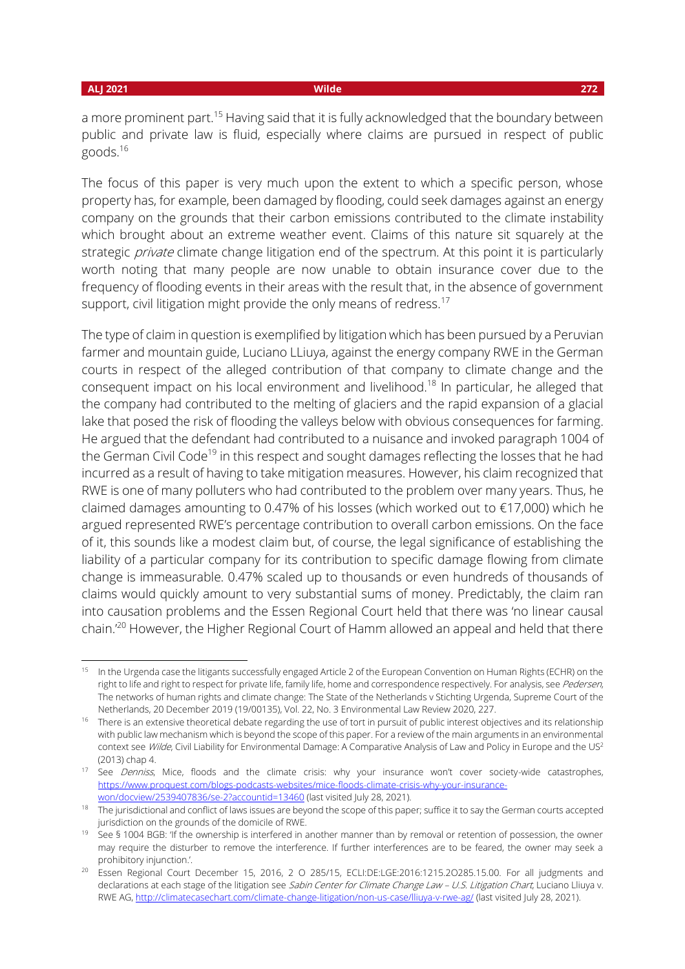a more prominent part.<sup>15</sup> Having said that it is fully acknowledged that the boundary between public and private law is fluid, especially where claims are pursued in respect of public goods.<sup>16</sup>

The focus of this paper is very much upon the extent to which a specific person, whose property has, for example, been damaged by flooding, could seek damages against an energy company on the grounds that their carbon emissions contributed to the climate instability which brought about an extreme weather event. Claims of this nature sit squarely at the strategic *private* climate change litigation end of the spectrum. At this point it is particularly worth noting that many people are now unable to obtain insurance cover due to the frequency of flooding events in their areas with the result that, in the absence of government support, civil litigation might provide the only means of redress.<sup>17</sup>

The type of claim in question is exemplified by litigation which has been pursued by a Peruvian farmer and mountain guide, Luciano LLiuya, against the energy company RWE in the German courts in respect of the alleged contribution of that company to climate change and the consequent impact on his local environment and livelihood.<sup>18</sup> In particular, he alleged that the company had contributed to the melting of glaciers and the rapid expansion of a glacial lake that posed the risk of flooding the valleys below with obvious consequences for farming. He argued that the defendant had contributed to a nuisance and invoked paragraph 1004 of the German Civil Code<sup>19</sup> in this respect and sought damages reflecting the losses that he had incurred as a result of having to take mitigation measures. However, his claim recognized that RWE is one of many polluters who had contributed to the problem over many years. Thus, he claimed damages amounting to 0.47% of his losses (which worked out to €17,000) which he argued represented RWE's percentage contribution to overall carbon emissions. On the face of it, this sounds like a modest claim but, of course, the legal significance of establishing the liability of a particular company for its contribution to specific damage flowing from climate change is immeasurable. 0.47% scaled up to thousands or even hundreds of thousands of claims would quickly amount to very substantial sums of money. Predictably, the claim ran into causation problems and the Essen Regional Court held that there was 'no linear causal chain.'<sup>20</sup> However, the Higher Regional Court of Hamm allowed an appeal and held that there

<sup>&</sup>lt;sup>15</sup> In the Urgenda case the litigants successfully engaged Article 2 of the European Convention on Human Rights (ECHR) on the right to life and right to respect for private life, family life, home and correspondence respectively. For analysis, see Pedersen, The networks of human rights and climate change: The State of the Netherlands v Stichting Urgenda, Supreme Court of the Netherlands, 20 December 2019 (19/00135), Vol. 22, No. 3 Environmental Law Review 2020, 227.

<sup>&</sup>lt;sup>16</sup> There is an extensive theoretical debate regarding the use of tort in pursuit of public interest objectives and its relationship with public law mechanism which is beyond the scope of this paper. For a review of the main arguments in an environmental context see Wilde, Civil Liability for Environmental Damage: A Comparative Analysis of Law and Policy in Europe and the US<sup>2</sup> (2013) chap 4.

<sup>&</sup>lt;sup>17</sup> See *Denniss*, Mice, floods and the climate crisis: why your insurance won't cover society-wide catastrophes, [https://www.proquest.com/blogs-podcasts-websites/mice-floods-climate-crisis-why-your-insurance](https://www.proquest.com/blogs-podcasts-websites/mice-floods-climate-crisis-why-your-insurance-won/docview/2539407836/se-2?accountid=13460)[won/docview/2539407836/se-2?accountid=13460](https://www.proquest.com/blogs-podcasts-websites/mice-floods-climate-crisis-why-your-insurance-won/docview/2539407836/se-2?accountid=13460) (last visited July 28, 2021).

<sup>&</sup>lt;sup>18</sup> The jurisdictional and conflict of laws issues are beyond the scope of this paper; suffice it to say the German courts accepted jurisdiction on the grounds of the domicile of RWE.

<sup>&</sup>lt;sup>19</sup> See § 1004 BGB: 'If the ownership is interfered in another manner than by removal or retention of possession, the owner may require the disturber to remove the interference. If further interferences are to be feared, the owner may seek a prohibitory injunction.'.

<sup>&</sup>lt;sup>20</sup> Essen Regional Court December 15, 2016, 2 O 285/15, ECLI:DE:LGE:2016:1215.2O285.15.00. For all judgments and declarations at each stage of the litigation see Sabin Center for Climate Change Law - U.S. Litigation Chart, Luciano Lliuya v. RWE AG,<http://climatecasechart.com/climate-change-litigation/non-us-case/lliuya-v-rwe-ag/> (last visited July 28, 2021).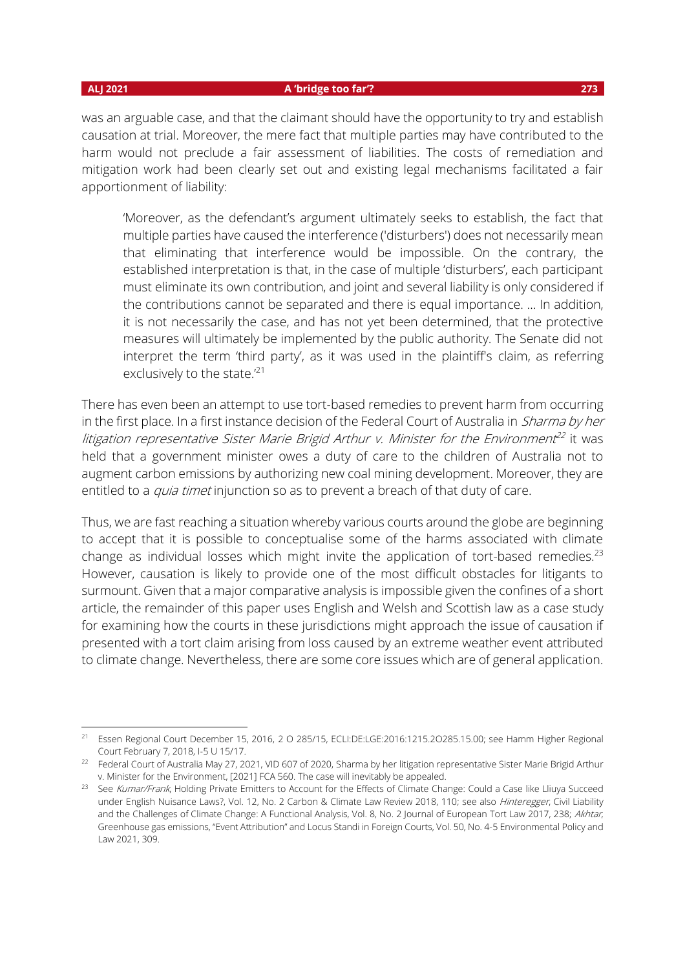#### **ALJ 2021 A 'bridge too far'? 273**

was an arguable case, and that the claimant should have the opportunity to try and establish causation at trial. Moreover, the mere fact that multiple parties may have contributed to the harm would not preclude a fair assessment of liabilities. The costs of remediation and mitigation work had been clearly set out and existing legal mechanisms facilitated a fair apportionment of liability:

'Moreover, as the defendant's argument ultimately seeks to establish, the fact that multiple parties have caused the interference ('disturbers') does not necessarily mean that eliminating that interference would be impossible. On the contrary, the established interpretation is that, in the case of multiple 'disturbers', each participant must eliminate its own contribution, and joint and several liability is only considered if the contributions cannot be separated and there is equal importance. … In addition, it is not necessarily the case, and has not yet been determined, that the protective measures will ultimately be implemented by the public authority. The Senate did not interpret the term 'third party', as it was used in the plaintiff's claim, as referring exclusively to the state.<sup>'21</sup>

There has even been an attempt to use tort-based remedies to prevent harm from occurring in the first place. In a first instance decision of the Federal Court of Australia in *Sharma by her* litigation representative Sister Marie Brigid Arthur v. Minister for the Environment<sup>22</sup> it was held that a government minister owes a duty of care to the children of Australia not to augment carbon emissions by authorizing new coal mining development. Moreover, they are entitled to a *quia timet* injunction so as to prevent a breach of that duty of care.

Thus, we are fast reaching a situation whereby various courts around the globe are beginning to accept that it is possible to conceptualise some of the harms associated with climate change as individual losses which might invite the application of tort-based remedies.<sup>23</sup> However, causation is likely to provide one of the most difficult obstacles for litigants to surmount. Given that a major comparative analysis is impossible given the confines of a short article, the remainder of this paper uses English and Welsh and Scottish law as a case study for examining how the courts in these jurisdictions might approach the issue of causation if presented with a tort claim arising from loss caused by an extreme weather event attributed to climate change. Nevertheless, there are some core issues which are of general application.

<sup>21</sup> Essen Regional Court December 15, 2016, 2 O 285/15, ECLI:DE:LGE:2016:1215.2O285.15.00; see Hamm Higher Regional Court February 7, 2018, I-5 U 15/17.

<sup>&</sup>lt;sup>22</sup> Federal Court of Australia May 27, 2021, VID 607 of 2020, Sharma by her litigation representative Sister Marie Brigid Arthur v. Minister for the Environment, [2021] FCA 560. The case will inevitably be appealed.

<sup>&</sup>lt;sup>23</sup> See Kumar/Frank, Holding Private Emitters to Account for the Effects of Climate Change: Could a Case like Lliuya Succeed under English Nuisance Laws?, Vol. 12, No. 2 Carbon & Climate Law Review 2018, 110; see also Hinteregger, Civil Liability and the Challenges of Climate Change: A Functional Analysis, Vol. 8, No. 2 Journal of European Tort Law 2017, 238; Akhtar, Greenhouse gas emissions, "Event Attribution" and Locus Standi in Foreign Courts, Vol. 50, No. 4-5 Environmental Policy and Law 2021, 309.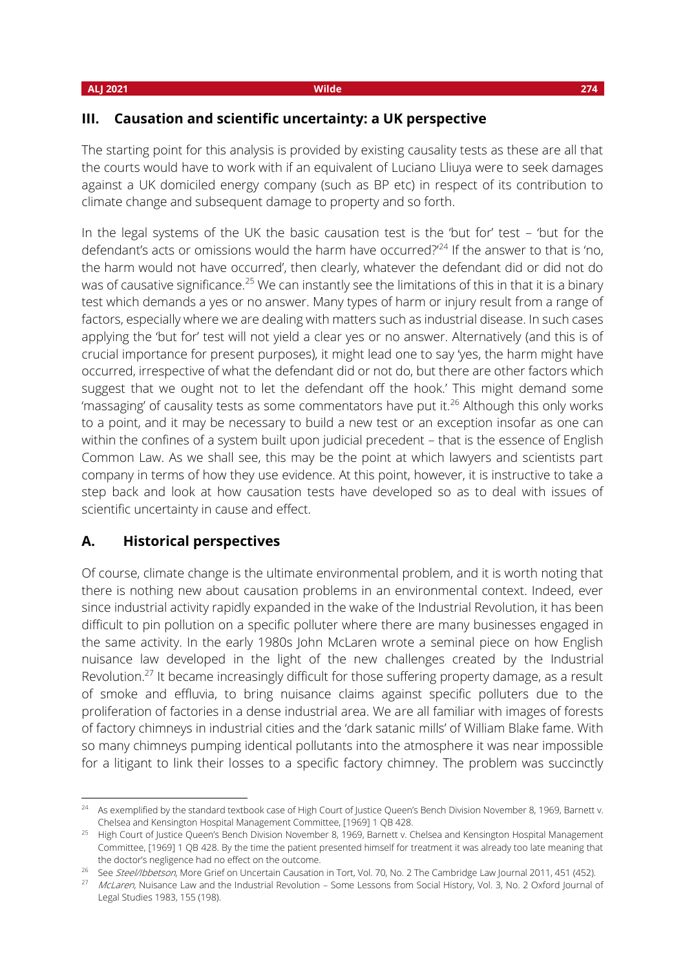### **III. Causation and scientific uncertainty: a UK perspective**

The starting point for this analysis is provided by existing causality tests as these are all that the courts would have to work with if an equivalent of Luciano Lliuya were to seek damages against a UK domiciled energy company (such as BP etc) in respect of its contribution to climate change and subsequent damage to property and so forth.

In the legal systems of the UK the basic causation test is the 'but for' test – 'but for the defendant's acts or omissions would the harm have occurred?<sup>'24</sup> If the answer to that is 'no, the harm would not have occurred', then clearly, whatever the defendant did or did not do was of causative significance.<sup>25</sup> We can instantly see the limitations of this in that it is a binary test which demands a yes or no answer. Many types of harm or injury result from a range of factors, especially where we are dealing with matters such as industrial disease. In such cases applying the 'but for' test will not yield a clear yes or no answer. Alternatively (and this is of crucial importance for present purposes), it might lead one to say 'yes, the harm might have occurred, irrespective of what the defendant did or not do, but there are other factors which suggest that we ought not to let the defendant off the hook.' This might demand some 'massaging' of causality tests as some commentators have put it.<sup>26</sup> Although this only works to a point, and it may be necessary to build a new test or an exception insofar as one can within the confines of a system built upon judicial precedent – that is the essence of English Common Law. As we shall see, this may be the point at which lawyers and scientists part company in terms of how they use evidence. At this point, however, it is instructive to take a step back and look at how causation tests have developed so as to deal with issues of scientific uncertainty in cause and effect.

## **A. Historical perspectives**

Of course, climate change is the ultimate environmental problem, and it is worth noting that there is nothing new about causation problems in an environmental context. Indeed, ever since industrial activity rapidly expanded in the wake of the Industrial Revolution, it has been difficult to pin pollution on a specific polluter where there are many businesses engaged in the same activity. In the early 1980s John McLaren wrote a seminal piece on how English nuisance law developed in the light of the new challenges created by the Industrial Revolution.<sup>27</sup> It became increasingly difficult for those suffering property damage, as a result of smoke and effluvia, to bring nuisance claims against specific polluters due to the proliferation of factories in a dense industrial area. We are all familiar with images of forests of factory chimneys in industrial cities and the 'dark satanic mills' of William Blake fame. With so many chimneys pumping identical pollutants into the atmosphere it was near impossible for a litigant to link their losses to a specific factory chimney. The problem was succinctly

<sup>&</sup>lt;sup>24</sup> As exemplified by the standard textbook case of High Court of Justice Queen's Bench Division November 8, 1969, Barnett v. Chelsea and Kensington Hospital Management Committee, [1969] 1 QB 428.

<sup>&</sup>lt;sup>25</sup> High Court of Justice Queen's Bench Division November 8, 1969, Barnett v. Chelsea and Kensington Hospital Management Committee, [1969] 1 QB 428. By the time the patient presented himself for treatment it was already too late meaning that the doctor's negligence had no effect on the outcome.

<sup>&</sup>lt;sup>26</sup> See Steel/Ibbetson, More Grief on Uncertain Causation in Tort, Vol. 70, No. 2 The Cambridge Law Journal 2011, 451 (452).

<sup>&</sup>lt;sup>27</sup> McLaren, Nuisance Law and the Industrial Revolution – Some Lessons from Social History, Vol. 3, No. 2 Oxford Journal of Legal Studies 1983, 155 (198).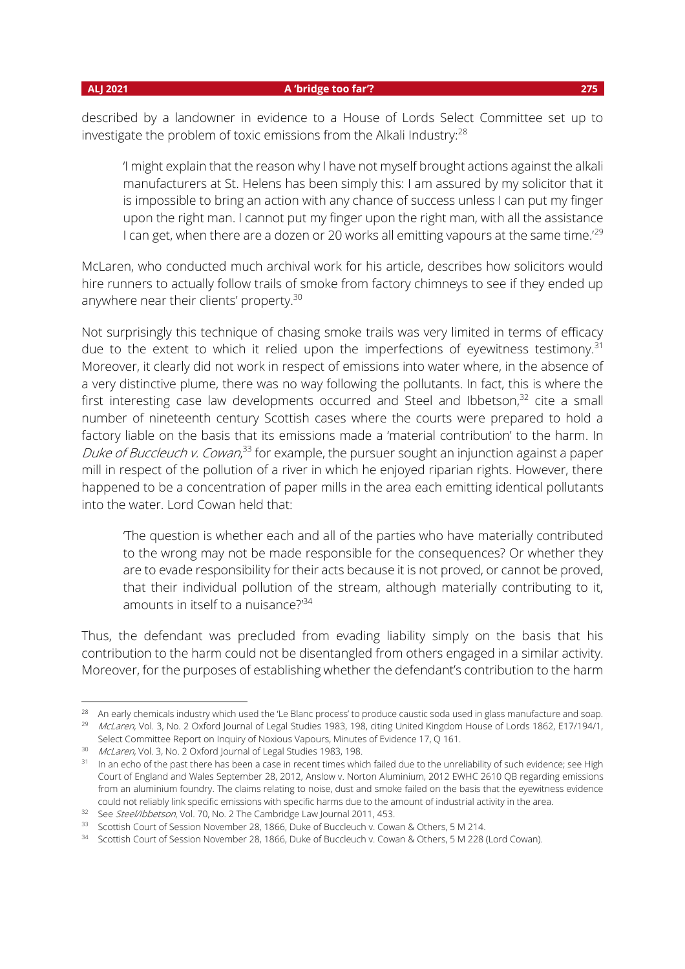#### **ALJ 2021 A 'bridge too far'? 275**

described by a landowner in evidence to a House of Lords Select Committee set up to investigate the problem of toxic emissions from the Alkali Industry:<sup>28</sup>

'I might explain that the reason why I have not myself brought actions against the alkali manufacturers at St. Helens has been simply this: I am assured by my solicitor that it is impossible to bring an action with any chance of success unless I can put my finger upon the right man. I cannot put my finger upon the right man, with all the assistance I can get, when there are a dozen or 20 works all emitting vapours at the same time.<sup>'29</sup>

McLaren, who conducted much archival work for his article, describes how solicitors would hire runners to actually follow trails of smoke from factory chimneys to see if they ended up anywhere near their clients' property.<sup>30</sup>

Not surprisingly this technique of chasing smoke trails was very limited in terms of efficacy due to the extent to which it relied upon the imperfections of eyewitness testimony.<sup>31</sup> Moreover, it clearly did not work in respect of emissions into water where, in the absence of a very distinctive plume, there was no way following the pollutants. In fact, this is where the first interesting case law developments occurred and Steel and Ibbetson, $32$  cite a small number of nineteenth century Scottish cases where the courts were prepared to hold a factory liable on the basis that its emissions made a 'material contribution' to the harm. In *Duke of Buccleuch v. Cowan*,<sup>33</sup> for example, the pursuer sought an injunction against a paper mill in respect of the pollution of a river in which he enjoyed riparian rights. However, there happened to be a concentration of paper mills in the area each emitting identical pollutants into the water. Lord Cowan held that:

'The question is whether each and all of the parties who have materially contributed to the wrong may not be made responsible for the consequences? Or whether they are to evade responsibility for their acts because it is not proved, or cannot be proved, that their individual pollution of the stream, although materially contributing to it, amounts in itself to a nuisance?<sup>34</sup>

Thus, the defendant was precluded from evading liability simply on the basis that his contribution to the harm could not be disentangled from others engaged in a similar activity. Moreover, for the purposes of establishing whether the defendant's contribution to the harm

<sup>&</sup>lt;sup>28</sup> An early chemicals industry which used the 'Le Blanc process' to produce caustic soda used in glass manufacture and soap.

<sup>&</sup>lt;sup>29</sup> McLaren, Vol. 3, No. 2 Oxford Journal of Legal Studies 1983, 198, citing United Kingdom House of Lords 1862, E17/194/1, Select Committee Report on Inquiry of Noxious Vapours, Minutes of Evidence 17, Q 161.

<sup>30</sup> McLaren, Vol. 3, No. 2 Oxford Journal of Legal Studies 1983, 198.

<sup>&</sup>lt;sup>31</sup> In an echo of the past there has been a case in recent times which failed due to the unreliability of such evidence; see High Court of England and Wales September 28, 2012, Anslow v. Norton Aluminium, 2012 EWHC 2610 QB regarding emissions from an aluminium foundry. The claims relating to noise, dust and smoke failed on the basis that the eyewitness evidence could not reliably link specific emissions with specific harms due to the amount of industrial activity in the area.

<sup>&</sup>lt;sup>32</sup> See Steel/Ibbetson, Vol. 70, No. 2 The Cambridge Law Journal 2011, 453.

<sup>&</sup>lt;sup>33</sup> Scottish Court of Session November 28, 1866, Duke of Buccleuch v. Cowan & Others, 5 M 214.

<sup>34</sup> Scottish Court of Session November 28, 1866, Duke of Buccleuch v. Cowan & Others, 5 M 228 (Lord Cowan).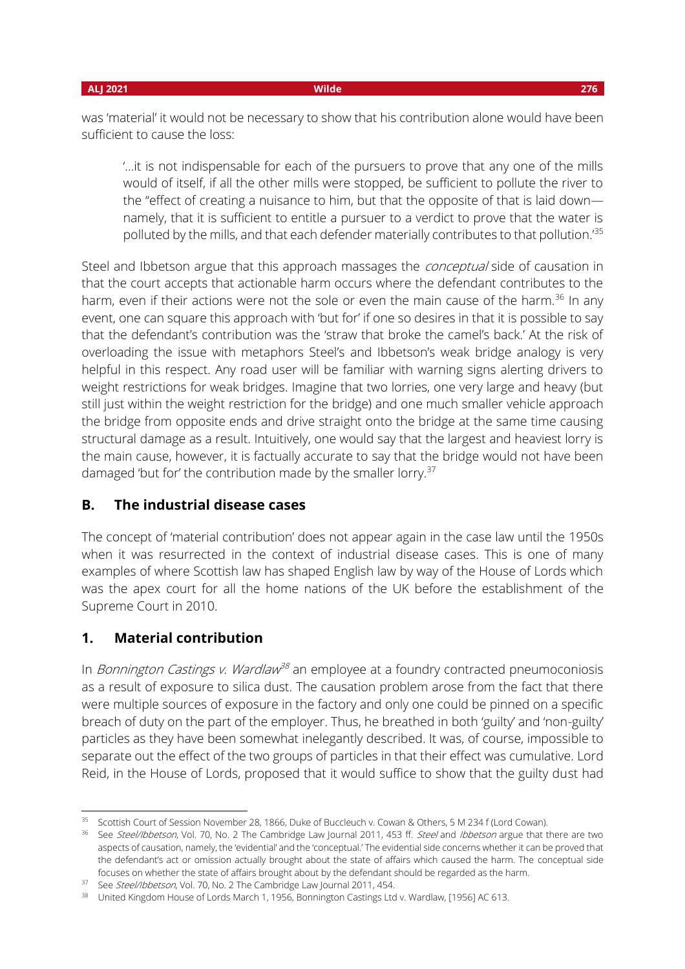was 'material' it would not be necessary to show that his contribution alone would have been sufficient to cause the loss:

'…it is not indispensable for each of the pursuers to prove that any one of the mills would of itself, if all the other mills were stopped, be sufficient to pollute the river to the "effect of creating a nuisance to him, but that the opposite of that is laid down namely, that it is sufficient to entitle a pursuer to a verdict to prove that the water is polluted by the mills, and that each defender materially contributes to that pollution.'<sup>35</sup>

Steel and Ibbetson argue that this approach massages the *conceptual* side of causation in that the court accepts that actionable harm occurs where the defendant contributes to the harm, even if their actions were not the sole or even the main cause of the harm.<sup>36</sup> In any event, one can square this approach with 'but for' if one so desires in that it is possible to say that the defendant's contribution was the 'straw that broke the camel's back.' At the risk of overloading the issue with metaphors Steel's and Ibbetson's weak bridge analogy is very helpful in this respect. Any road user will be familiar with warning signs alerting drivers to weight restrictions for weak bridges. Imagine that two lorries, one very large and heavy (but still just within the weight restriction for the bridge) and one much smaller vehicle approach the bridge from opposite ends and drive straight onto the bridge at the same time causing structural damage as a result. Intuitively, one would say that the largest and heaviest lorry is the main cause, however, it is factually accurate to say that the bridge would not have been damaged 'but for' the contribution made by the smaller lorry.<sup>37</sup>

## **B. The industrial disease cases**

The concept of 'material contribution' does not appear again in the case law until the 1950s when it was resurrected in the context of industrial disease cases. This is one of many examples of where Scottish law has shaped English law by way of the House of Lords which was the apex court for all the home nations of the UK before the establishment of the Supreme Court in 2010.

## **1. Material contribution**

In *Bonnington Castings v. Wardlaw<sup>38</sup>* an employee at a foundry contracted pneumoconiosis as a result of exposure to silica dust. The causation problem arose from the fact that there were multiple sources of exposure in the factory and only one could be pinned on a specific breach of duty on the part of the employer. Thus, he breathed in both 'guilty' and 'non-guilty' particles as they have been somewhat inelegantly described. It was, of course, impossible to separate out the effect of the two groups of particles in that their effect was cumulative. Lord Reid, in the House of Lords, proposed that it would suffice to show that the guilty dust had

<sup>&</sup>lt;sup>35</sup> Scottish Court of Session November 28, 1866, Duke of Buccleuch v. Cowan & Others, 5 M 234 f (Lord Cowan).

<sup>&</sup>lt;sup>36</sup> See Steel/Ibbetson, Vol. 70, No. 2 The Cambridge Law Journal 2011, 453 ff. Steel and Ibbetson argue that there are two aspects of causation, namely, the 'evidential' and the 'conceptual.' The evidential side concerns whether it can be proved that the defendant's act or omission actually brought about the state of affairs which caused the harm. The conceptual side focuses on whether the state of affairs brought about by the defendant should be regarded as the harm.

<sup>&</sup>lt;sup>37</sup> See Steel/Ibbetson, Vol. 70, No. 2 The Cambridge Law Journal 2011, 454.

<sup>&</sup>lt;sup>38</sup> United Kingdom House of Lords March 1, 1956, Bonnington Castings Ltd v. Wardlaw, [1956] AC 613.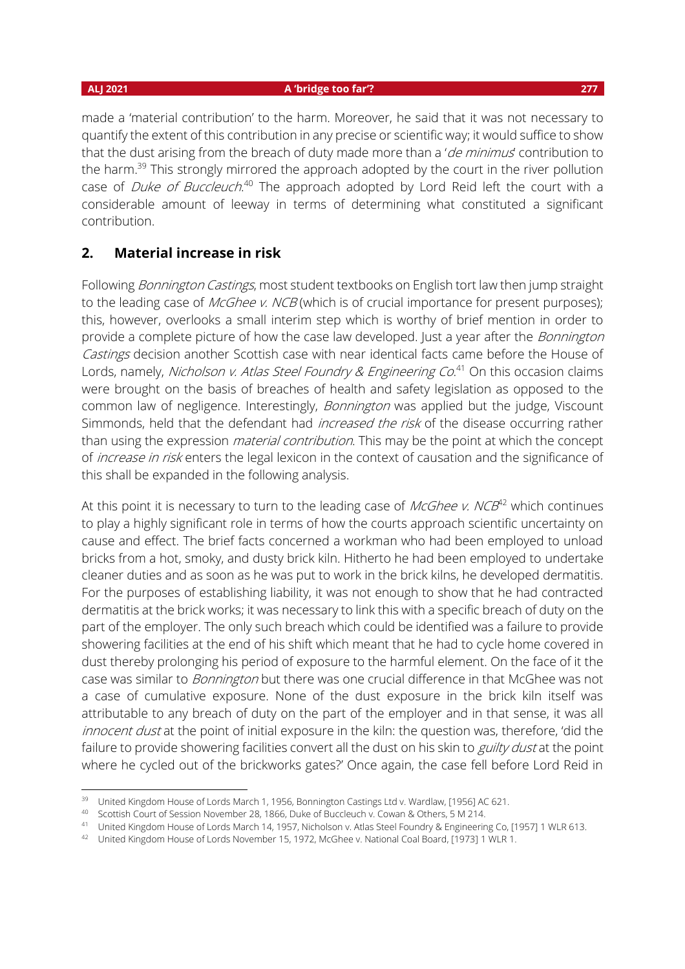#### **ALJ 2021 A 'bridge too far'? 277**

made a 'material contribution' to the harm. Moreover, he said that it was not necessary to quantify the extent of this contribution in any precise or scientific way; it would suffice to show that the dust arising from the breach of duty made more than a 'de minimus' contribution to the harm.<sup>39</sup> This strongly mirrored the approach adopted by the court in the river pollution case of *Duke of Buccleuch*.<sup>40</sup> The approach adopted by Lord Reid left the court with a considerable amount of leeway in terms of determining what constituted a significant contribution.

## **2. Material increase in risk**

Following *Bonnington Castings*, most student textbooks on English tort law then jump straight to the leading case of *McGhee v. NCB* (which is of crucial importance for present purposes); this, however, overlooks a small interim step which is worthy of brief mention in order to provide a complete picture of how the case law developed. Just a year after the *Bonnington* Castings decision another Scottish case with near identical facts came before the House of Lords, namely, *Nicholson v. Atlas Steel Foundry & Engineering Co*.<sup>41</sup> On this occasion claims were brought on the basis of breaches of health and safety legislation as opposed to the common law of negligence. Interestingly, Bonnington was applied but the judge, Viscount Simmonds, held that the defendant had *increased the risk* of the disease occurring rather than using the expression *material contribution*. This may be the point at which the concept of *increase in risk* enters the legal lexicon in the context of causation and the significance of this shall be expanded in the following analysis.

At this point it is necessary to turn to the leading case of  $\mathit{McGhee}\ v$ . NCB<sup>42</sup> which continues to play a highly significant role in terms of how the courts approach scientific uncertainty on cause and effect. The brief facts concerned a workman who had been employed to unload bricks from a hot, smoky, and dusty brick kiln. Hitherto he had been employed to undertake cleaner duties and as soon as he was put to work in the brick kilns, he developed dermatitis. For the purposes of establishing liability, it was not enough to show that he had contracted dermatitis at the brick works; it was necessary to link this with a specific breach of duty on the part of the employer. The only such breach which could be identified was a failure to provide showering facilities at the end of his shift which meant that he had to cycle home covered in dust thereby prolonging his period of exposure to the harmful element. On the face of it the case was similar to *Bonnington* but there was one crucial difference in that McGhee was not a case of cumulative exposure. None of the dust exposure in the brick kiln itself was attributable to any breach of duty on the part of the employer and in that sense, it was all innocent dust at the point of initial exposure in the kiln: the question was, therefore, 'did the failure to provide showering facilities convert all the dust on his skin to *guilty dust* at the point where he cycled out of the brickworks gates?' Once again, the case fell before Lord Reid in

<sup>&</sup>lt;sup>39</sup> United Kingdom House of Lords March 1, 1956, Bonnington Castings Ltd v. Wardlaw, [1956] AC 621.

<sup>40</sup> Scottish Court of Session November 28, 1866, Duke of Buccleuch v. Cowan & Others, 5 M 214.

<sup>41</sup> United Kingdom House of Lords March 14, 1957, Nicholson v. Atlas Steel Foundry & Engineering Co, [1957] 1 WLR 613.

<sup>42</sup> United Kingdom House of Lords November 15, 1972, McGhee v. National Coal Board, [1973] 1 WLR 1.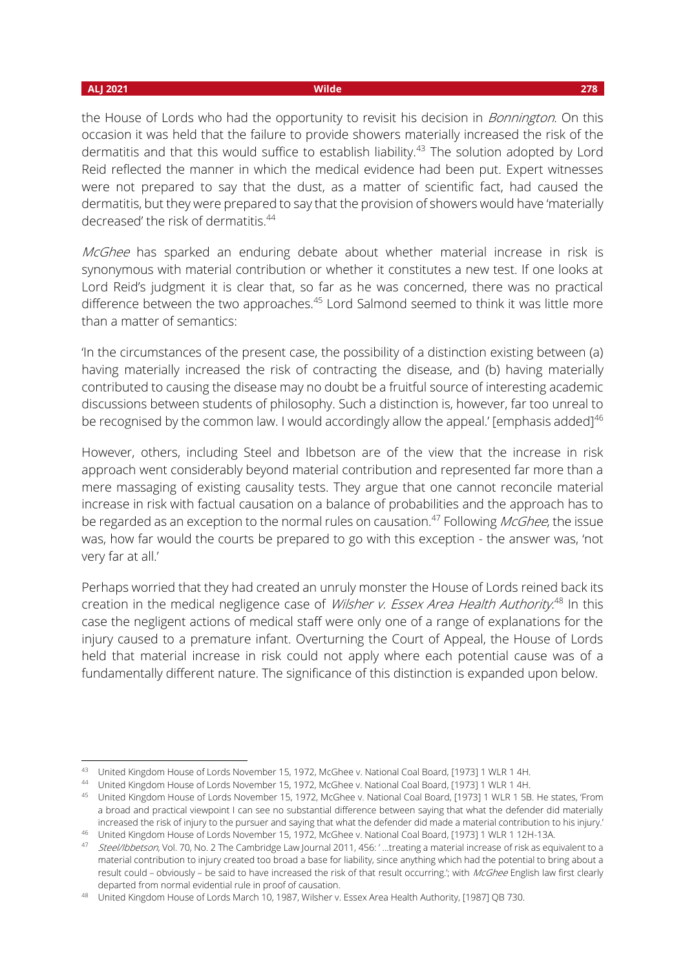the House of Lords who had the opportunity to revisit his decision in *Bonnington*. On this occasion it was held that the failure to provide showers materially increased the risk of the dermatitis and that this would suffice to establish liability.<sup>43</sup> The solution adopted by Lord Reid reflected the manner in which the medical evidence had been put. Expert witnesses were not prepared to say that the dust, as a matter of scientific fact, had caused the dermatitis, but they were prepared to say that the provision of showers would have 'materially decreased' the risk of dermatitis.<sup>44</sup>

McGhee has sparked an enduring debate about whether material increase in risk is synonymous with material contribution or whether it constitutes a new test. If one looks at Lord Reid's judgment it is clear that, so far as he was concerned, there was no practical difference between the two approaches.<sup>45</sup> Lord Salmond seemed to think it was little more than a matter of semantics:

'In the circumstances of the present case, the possibility of a distinction existing between (a) having materially increased the risk of contracting the disease, and (b) having materially contributed to causing the disease may no doubt be a fruitful source of interesting academic discussions between students of philosophy. Such a distinction is, however, far too unreal to be recognised by the common law. I would accordingly allow the appeal.' [emphasis added]<sup>46</sup>

However, others, including Steel and Ibbetson are of the view that the increase in risk approach went considerably beyond material contribution and represented far more than a mere massaging of existing causality tests. They argue that one cannot reconcile material increase in risk with factual causation on a balance of probabilities and the approach has to be regarded as an exception to the normal rules on causation.<sup>47</sup> Following *McGhee*, the issue was, how far would the courts be prepared to go with this exception - the answer was, 'not very far at all.'

Perhaps worried that they had created an unruly monster the House of Lords reined back its creation in the medical negligence case of *Wilsher v. Essex Area Health Authority*.<sup>48</sup> In this case the negligent actions of medical staff were only one of a range of explanations for the injury caused to a premature infant. Overturning the Court of Appeal, the House of Lords held that material increase in risk could not apply where each potential cause was of a fundamentally different nature. The significance of this distinction is expanded upon below.

<sup>43</sup> United Kingdom House of Lords November 15, 1972, McGhee v. National Coal Board, [1973] 1 WLR 1 4H.

<sup>44</sup> United Kingdom House of Lords November 15, 1972, McGhee v. National Coal Board, [1973] 1 WLR 1 4H.

<sup>45</sup> United Kingdom House of Lords November 15, 1972, McGhee v. National Coal Board, [1973] 1 WLR 1 5B. He states, 'From a broad and practical viewpoint I can see no substantial difference between saying that what the defender did materially increased the risk of injury to the pursuer and saying that what the defender did made a material contribution to his injury.'

<sup>46</sup> United Kingdom House of Lords November 15, 1972, McGhee v. National Coal Board, [1973] 1 WLR 1 12H-13A.

<sup>47</sup> Steel/Ibbetson, Vol. 70, No. 2 The Cambridge Law Journal 2011, 456: ' ...treating a material increase of risk as equivalent to a material contribution to injury created too broad a base for liability, since anything which had the potential to bring about a result could – obviously – be said to have increased the risk of that result occurring.'; with McGhee English law first clearly departed from normal evidential rule in proof of causation.

<sup>48</sup> United Kingdom House of Lords March 10, 1987, Wilsher v. Essex Area Health Authority, [1987] QB 730.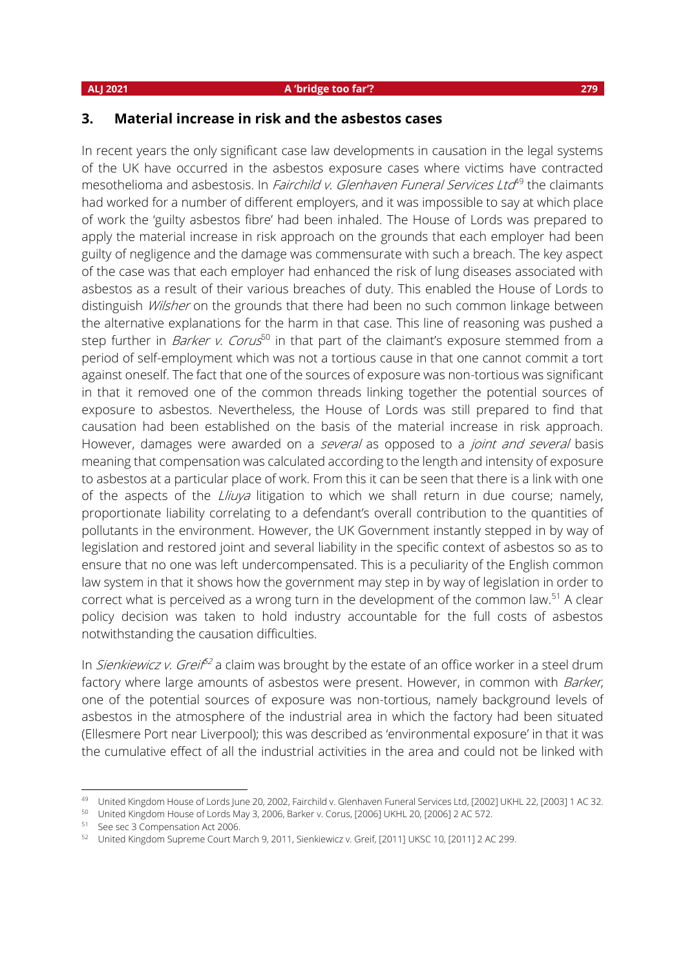### **ALJ 2021 A 'bridge too far'? 279**

## **3. Material increase in risk and the asbestos cases**

In recent years the only significant case law developments in causation in the legal systems of the UK have occurred in the asbestos exposure cases where victims have contracted mesothelioma and asbestosis. In *Fairchild v. Glenhaven Funeral Services Ltd*<sup>49</sup> the claimants had worked for a number of different employers, and it was impossible to say at which place of work the 'guilty asbestos fibre' had been inhaled. The House of Lords was prepared to apply the material increase in risk approach on the grounds that each employer had been guilty of negligence and the damage was commensurate with such a breach. The key aspect of the case was that each employer had enhanced the risk of lung diseases associated with asbestos as a result of their various breaches of duty. This enabled the House of Lords to distinguish *Wilsher* on the grounds that there had been no such common linkage between the alternative explanations for the harm in that case. This line of reasoning was pushed a step further in *Barker v. Corus*<sup>50</sup> in that part of the claimant's exposure stemmed from a period of self-employment which was not a tortious cause in that one cannot commit a tort against oneself. The fact that one of the sources of exposure was non-tortious was significant in that it removed one of the common threads linking together the potential sources of exposure to asbestos. Nevertheless, the House of Lords was still prepared to find that causation had been established on the basis of the material increase in risk approach. However, damages were awarded on a several as opposed to a joint and several basis meaning that compensation was calculated according to the length and intensity of exposure to asbestos at a particular place of work. From this it can be seen that there is a link with one of the aspects of the  $Liuva$  litigation to which we shall return in due course; namely, proportionate liability correlating to a defendant's overall contribution to the quantities of pollutants in the environment. However, the UK Government instantly stepped in by way of legislation and restored joint and several liability in the specific context of asbestos so as to ensure that no one was left undercompensated. This is a peculiarity of the English common law system in that it shows how the government may step in by way of legislation in order to correct what is perceived as a wrong turn in the development of the common law.<sup>51</sup> A clear policy decision was taken to hold industry accountable for the full costs of asbestos notwithstanding the causation difficulties.

In *Sienkiewicz v. Greif<sup>52</sup>* a claim was brought by the estate of an office worker in a steel drum factory where large amounts of asbestos were present. However, in common with Barker, one of the potential sources of exposure was non-tortious, namely background levels of asbestos in the atmosphere of the industrial area in which the factory had been situated (Ellesmere Port near Liverpool); this was described as 'environmental exposure' in that it was the cumulative effect of all the industrial activities in the area and could not be linked with

<sup>&</sup>lt;sup>49</sup> United Kingdom House of Lords June 20, 2002, Fairchild v. Glenhaven Funeral Services Ltd, [2002] UKHL 22, [2003] 1 AC 32.

<sup>50</sup> United Kingdom House of Lords May 3, 2006, Barker v. Corus, [2006] UKHL 20, [2006] 2 AC 572.

<sup>51</sup> See sec 3 Compensation Act 2006.

<sup>&</sup>lt;sup>52</sup> United Kingdom Supreme Court March 9, 2011, Sienkiewicz v. Greif, [2011] UKSC 10, [2011] 2 AC 299.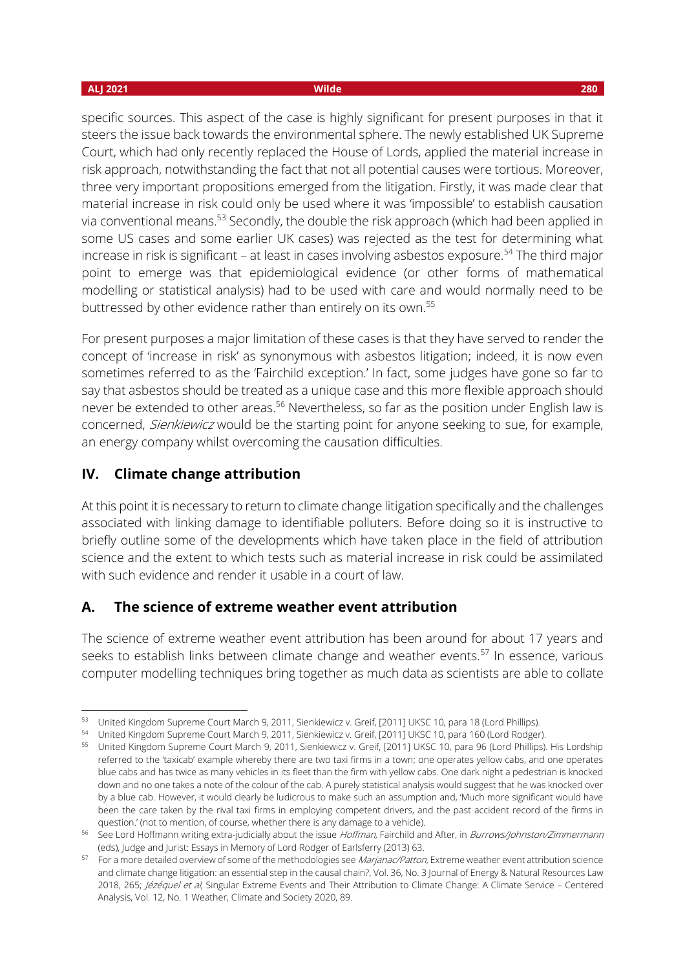specific sources. This aspect of the case is highly significant for present purposes in that it steers the issue back towards the environmental sphere. The newly established UK Supreme Court, which had only recently replaced the House of Lords, applied the material increase in risk approach, notwithstanding the fact that not all potential causes were tortious. Moreover, three very important propositions emerged from the litigation. Firstly, it was made clear that material increase in risk could only be used where it was 'impossible' to establish causation via conventional means.<sup>53</sup> Secondly, the double the risk approach (which had been applied in some US cases and some earlier UK cases) was rejected as the test for determining what increase in risk is significant – at least in cases involving asbestos exposure.<sup>54</sup> The third major point to emerge was that epidemiological evidence (or other forms of mathematical modelling or statistical analysis) had to be used with care and would normally need to be buttressed by other evidence rather than entirely on its own.<sup>55</sup>

For present purposes a major limitation of these cases is that they have served to render the concept of 'increase in risk' as synonymous with asbestos litigation; indeed, it is now even sometimes referred to as the 'Fairchild exception.' In fact, some judges have gone so far to say that asbestos should be treated as a unique case and this more flexible approach should never be extended to other areas.<sup>56</sup> Nevertheless, so far as the position under English law is concerned, Sienkiewicz would be the starting point for anyone seeking to sue, for example, an energy company whilst overcoming the causation difficulties.

## **IV. Climate change attribution**

At this point it is necessary to return to climate change litigation specifically and the challenges associated with linking damage to identifiable polluters. Before doing so it is instructive to briefly outline some of the developments which have taken place in the field of attribution science and the extent to which tests such as material increase in risk could be assimilated with such evidence and render it usable in a court of law.

## **A. The science of extreme weather event attribution**

The science of extreme weather event attribution has been around for about 17 years and seeks to establish links between climate change and weather events.<sup>57</sup> In essence, various computer modelling techniques bring together as much data as scientists are able to collate

<sup>53</sup> United Kingdom Supreme Court March 9, 2011, Sienkiewicz v. Greif, [2011] UKSC 10, para 18 (Lord Phillips).

<sup>54</sup> United Kingdom Supreme Court March 9, 2011, Sienkiewicz v. Greif, [2011] UKSC 10, para 160 (Lord Rodger).

<sup>55</sup> United Kingdom Supreme Court March 9, 2011, Sienkiewicz v. Greif, [2011] UKSC 10, para 96 (Lord Phillips). His Lordship referred to the 'taxicab' example whereby there are two taxi firms in a town; one operates yellow cabs, and one operates blue cabs and has twice as many vehicles in its fleet than the firm with yellow cabs. One dark night a pedestrian is knocked down and no one takes a note of the colour of the cab. A purely statistical analysis would suggest that he was knocked over by a blue cab. However, it would clearly be ludicrous to make such an assumption and, 'Much more significant would have been the care taken by the rival taxi firms in employing competent drivers, and the past accident record of the firms in question.' (not to mention, of course, whether there is any damage to a vehicle).

<sup>56</sup> See Lord Hoffmann writing extra-judicially about the issue Hoffman, Fairchild and After, in Burrows/Johnston/Zimmermann (eds), Judge and Jurist: Essays in Memory of Lord Rodger of Earlsferry (2013) 63.

<sup>57</sup> For a more detailed overview of some of the methodologies see Marjanac/Patton, Extreme weather event attribution science and climate change litigation: an essential step in the causal chain?, Vol. 36, No. 3 Journal of Energy & Natural Resources Law 2018, 265; Jézéquel et al, Singular Extreme Events and Their Attribution to Climate Change: A Climate Service - Centered Analysis, Vol. 12, No. 1 Weather, Climate and Society 2020, 89.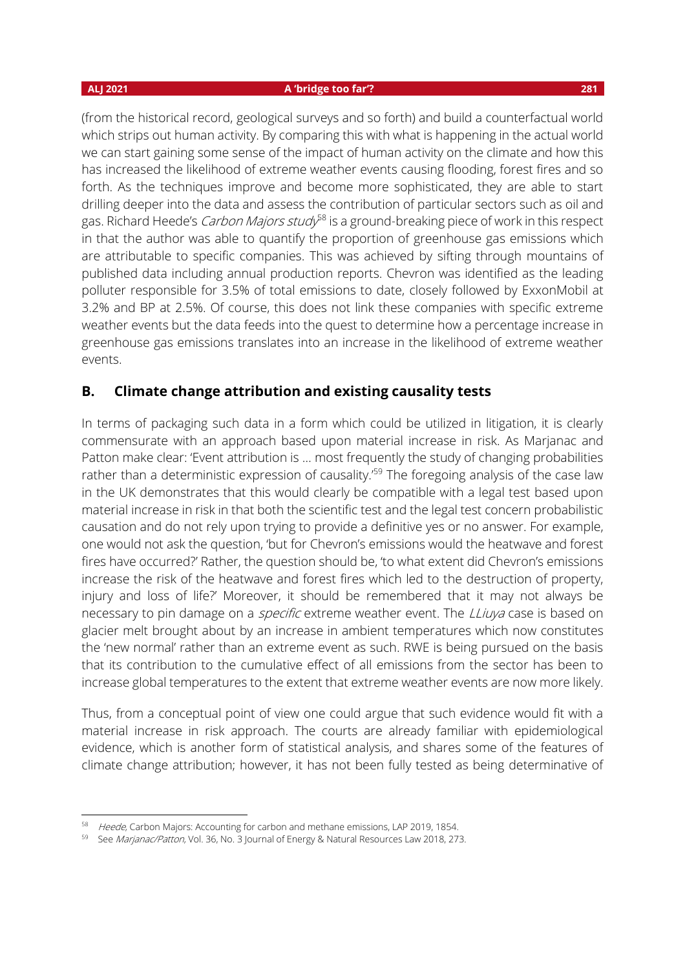### **ALJ 2021 A 'bridge too far'? 281**

(from the historical record, geological surveys and so forth) and build a counterfactual world which strips out human activity. By comparing this with what is happening in the actual world we can start gaining some sense of the impact of human activity on the climate and how this has increased the likelihood of extreme weather events causing flooding, forest fires and so forth. As the techniques improve and become more sophisticated, they are able to start drilling deeper into the data and assess the contribution of particular sectors such as oil and gas. Richard Heede's *Carbon Majors study<sup>58</sup>* is a ground-breaking piece of work in this respect in that the author was able to quantify the proportion of greenhouse gas emissions which are attributable to specific companies. This was achieved by sifting through mountains of published data including annual production reports. Chevron was identified as the leading polluter responsible for 3.5% of total emissions to date, closely followed by ExxonMobil at 3.2% and BP at 2.5%. Of course, this does not link these companies with specific extreme weather events but the data feeds into the quest to determine how a percentage increase in greenhouse gas emissions translates into an increase in the likelihood of extreme weather events.

## **B. Climate change attribution and existing causality tests**

In terms of packaging such data in a form which could be utilized in litigation, it is clearly commensurate with an approach based upon material increase in risk. As Marjanac and Patton make clear: 'Event attribution is … most frequently the study of changing probabilities rather than a deterministic expression of causality.<sup>'59</sup> The foregoing analysis of the case law in the UK demonstrates that this would clearly be compatible with a legal test based upon material increase in risk in that both the scientific test and the legal test concern probabilistic causation and do not rely upon trying to provide a definitive yes or no answer. For example, one would not ask the question, 'but for Chevron's emissions would the heatwave and forest fires have occurred?' Rather, the question should be, 'to what extent did Chevron's emissions increase the risk of the heatwave and forest fires which led to the destruction of property, injury and loss of life?' Moreover, it should be remembered that it may not always be necessary to pin damage on a *specific* extreme weather event. The *LLiuya* case is based on glacier melt brought about by an increase in ambient temperatures which now constitutes the 'new normal' rather than an extreme event as such. RWE is being pursued on the basis that its contribution to the cumulative effect of all emissions from the sector has been to increase global temperatures to the extent that extreme weather events are now more likely.

Thus, from a conceptual point of view one could argue that such evidence would fit with a material increase in risk approach. The courts are already familiar with epidemiological evidence, which is another form of statistical analysis, and shares some of the features of climate change attribution; however, it has not been fully tested as being determinative of

<sup>58</sup> Heede, Carbon Majors: Accounting for carbon and methane emissions, LAP 2019, 1854.

<sup>59</sup> See Marjanac/Patton, Vol. 36, No. 3 Journal of Energy & Natural Resources Law 2018, 273.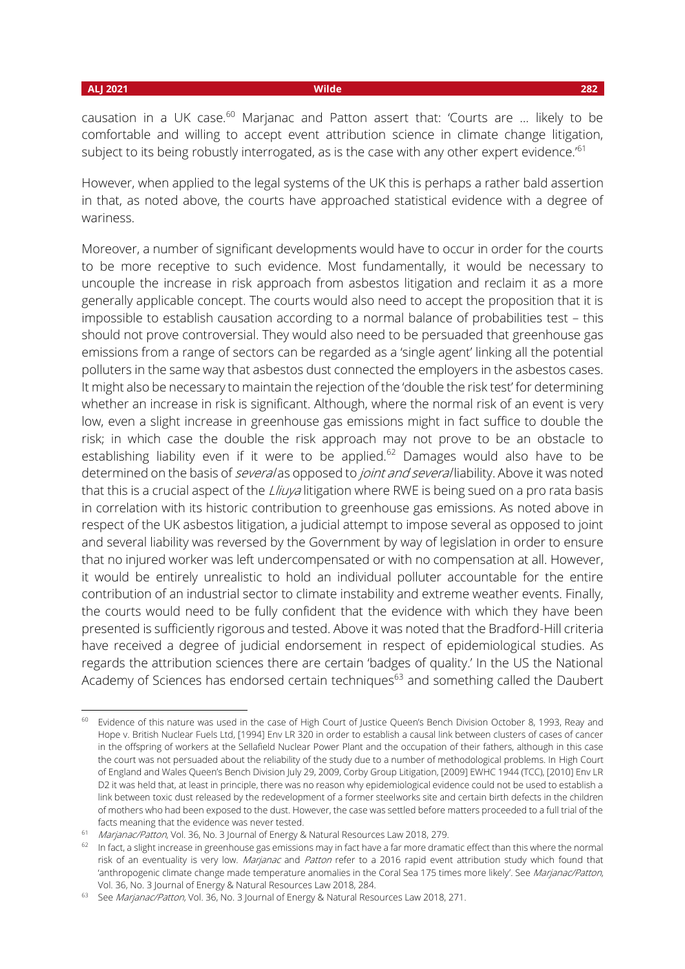causation in a UK case. $60$  Marjanac and Patton assert that: 'Courts are ... likely to be comfortable and willing to accept event attribution science in climate change litigation, subject to its being robustly interrogated, as is the case with any other expert evidence.<sup>'61</sup>

However, when applied to the legal systems of the UK this is perhaps a rather bald assertion in that, as noted above, the courts have approached statistical evidence with a degree of wariness.

Moreover, a number of significant developments would have to occur in order for the courts to be more receptive to such evidence. Most fundamentally, it would be necessary to uncouple the increase in risk approach from asbestos litigation and reclaim it as a more generally applicable concept. The courts would also need to accept the proposition that it is impossible to establish causation according to a normal balance of probabilities test – this should not prove controversial. They would also need to be persuaded that greenhouse gas emissions from a range of sectors can be regarded as a 'single agent' linking all the potential polluters in the same way that asbestos dust connected the employers in the asbestos cases. It might also be necessary to maintain the rejection of the 'double the risk test' for determining whether an increase in risk is significant. Although, where the normal risk of an event is very low, even a slight increase in greenhouse gas emissions might in fact suffice to double the risk; in which case the double the risk approach may not prove to be an obstacle to establishing liability even if it were to be applied.<sup>62</sup> Damages would also have to be determined on the basis of *several* as opposed to *joint and several* liability. Above it was noted that this is a crucial aspect of the *Lliuya* litigation where RWE is being sued on a pro rata basis in correlation with its historic contribution to greenhouse gas emissions. As noted above in respect of the UK asbestos litigation, a judicial attempt to impose several as opposed to joint and several liability was reversed by the Government by way of legislation in order to ensure that no injured worker was left undercompensated or with no compensation at all. However, it would be entirely unrealistic to hold an individual polluter accountable for the entire contribution of an industrial sector to climate instability and extreme weather events. Finally, the courts would need to be fully confident that the evidence with which they have been presented is sufficiently rigorous and tested. Above it was noted that the Bradford-Hill criteria have received a degree of judicial endorsement in respect of epidemiological studies. As regards the attribution sciences there are certain 'badges of quality.' In the US the National Academy of Sciences has endorsed certain techniques<sup>63</sup> and something called the Daubert

<sup>&</sup>lt;sup>60</sup> Evidence of this nature was used in the case of High Court of Justice Queen's Bench Division October 8, 1993, Reay and Hope v. British Nuclear Fuels Ltd, [1994] Env LR 320 in order to establish a causal link between clusters of cases of cancer in the offspring of workers at the Sellafield Nuclear Power Plant and the occupation of their fathers, although in this case the court was not persuaded about the reliability of the study due to a number of methodological problems. In High Court of England and Wales Queen's Bench Division July 29, 2009, Corby Group Litigation, [2009] EWHC 1944 (TCC), [2010] Env LR D2 it was held that, at least in principle, there was no reason why epidemiological evidence could not be used to establish a link between toxic dust released by the redevelopment of a former steelworks site and certain birth defects in the children of mothers who had been exposed to the dust. However, the case was settled before matters proceeded to a full trial of the facts meaning that the evidence was never tested.

<sup>&</sup>lt;sup>61</sup> Marjanac/Patton, Vol. 36, No. 3 Journal of Energy & Natural Resources Law 2018, 279.

 $62$  In fact, a slight increase in greenhouse gas emissions may in fact have a far more dramatic effect than this where the normal risk of an eventuality is very low. Marjanac and Patton refer to a 2016 rapid event attribution study which found that 'anthropogenic climate change made temperature anomalies in the Coral Sea 175 times more likely'. See Marjanac/Patton, Vol. 36, No. 3 Journal of Energy & Natural Resources Law 2018, 284.

<sup>63</sup> See Marjanac/Patton, Vol. 36, No. 3 Journal of Energy & Natural Resources Law 2018, 271.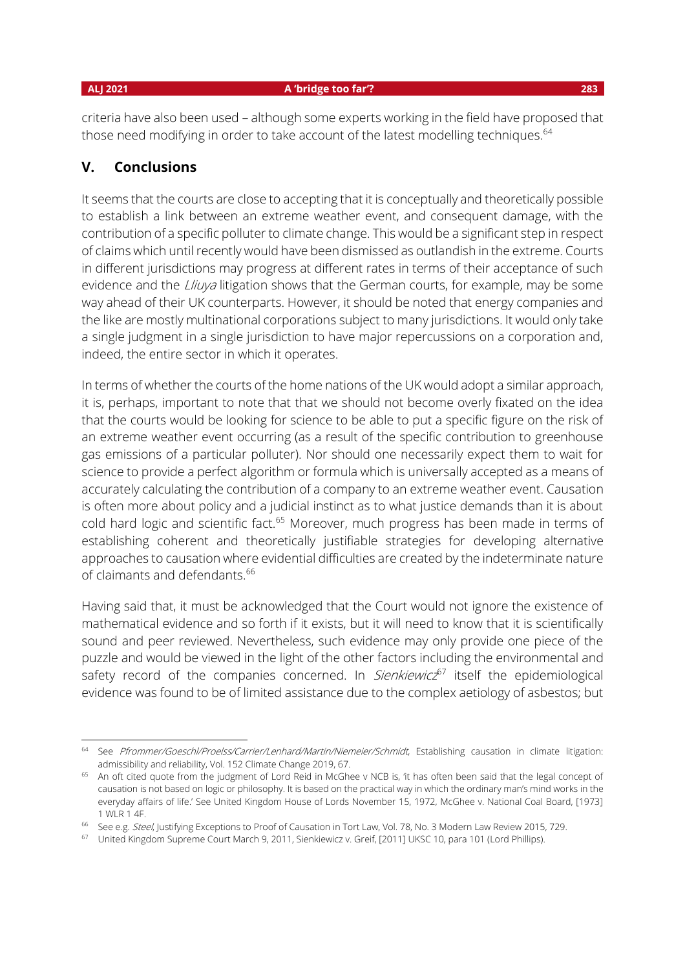criteria have also been used – although some experts working in the field have proposed that those need modifying in order to take account of the latest modelling techniques.<sup>64</sup>

### **V. Conclusions**

It seems that the courts are close to accepting that it is conceptually and theoretically possible to establish a link between an extreme weather event, and consequent damage, with the contribution of a specific polluter to climate change. This would be a significant step in respect of claims which until recently would have been dismissed as outlandish in the extreme. Courts in different jurisdictions may progress at different rates in terms of their acceptance of such evidence and the Lliuya litigation shows that the German courts, for example, may be some way ahead of their UK counterparts. However, it should be noted that energy companies and the like are mostly multinational corporations subject to many jurisdictions. It would only take a single judgment in a single jurisdiction to have major repercussions on a corporation and, indeed, the entire sector in which it operates.

In terms of whether the courts of the home nations of the UK would adopt a similar approach, it is, perhaps, important to note that that we should not become overly fixated on the idea that the courts would be looking for science to be able to put a specific figure on the risk of an extreme weather event occurring (as a result of the specific contribution to greenhouse gas emissions of a particular polluter). Nor should one necessarily expect them to wait for science to provide a perfect algorithm or formula which is universally accepted as a means of accurately calculating the contribution of a company to an extreme weather event. Causation is often more about policy and a judicial instinct as to what justice demands than it is about cold hard logic and scientific fact.<sup>65</sup> Moreover, much progress has been made in terms of establishing coherent and theoretically justifiable strategies for developing alternative approaches to causation where evidential difficulties are created by the indeterminate nature of claimants and defendants.<sup>66</sup>

Having said that, it must be acknowledged that the Court would not ignore the existence of mathematical evidence and so forth if it exists, but it will need to know that it is scientifically sound and peer reviewed. Nevertheless, such evidence may only provide one piece of the puzzle and would be viewed in the light of the other factors including the environmental and safety record of the companies concerned. In *Sienkiewicz*<sup>67</sup> itself the epidemiological evidence was found to be of limited assistance due to the complex aetiology of asbestos; but

<sup>64</sup> See Pfrommer/Goeschl/Proelss/Carrier/Lenhard/Martin/Niemeier/Schmidt, Establishing causation in climate litigation: admissibility and reliability, Vol. 152 Climate Change 2019, 67.

<sup>&</sup>lt;sup>65</sup> An oft cited quote from the judgment of Lord Reid in McGhee v NCB is, 'it has often been said that the legal concept of causation is not based on logic or philosophy. It is based on the practical way in which the ordinary man's mind works in the everyday affairs of life.' See United Kingdom House of Lords November 15, 1972, McGhee v. National Coal Board, [1973] 1 WLR 1 4F.

<sup>&</sup>lt;sup>66</sup> See e.g. Steel, Justifying Exceptions to Proof of Causation in Tort Law, Vol. 78, No. 3 Modern Law Review 2015, 729.

<sup>&</sup>lt;sup>67</sup> United Kingdom Supreme Court March 9, 2011, Sienkiewicz v. Greif, [2011] UKSC 10, para 101 (Lord Phillips).